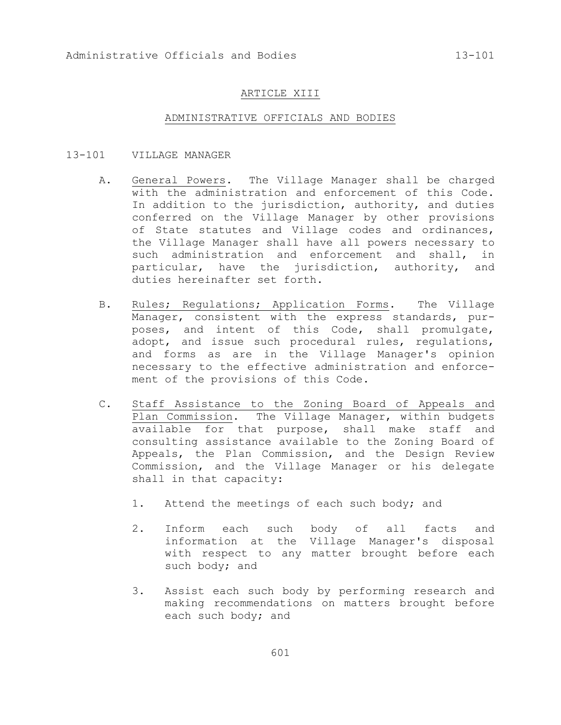## ARTICLE XIII

## ADMINISTRATIVE OFFICIALS AND BODIES

- 13-101 VILLAGE MANAGER
	- A. General Powers. The Village Manager shall be charged with the administration and enforcement of this Code. In addition to the jurisdiction, authority, and duties conferred on the Village Manager by other provisions of State statutes and Village codes and ordinances, the Village Manager shall have all powers necessary to such administration and enforcement and shall, in particular, have the jurisdiction, authority, and duties hereinafter set forth.
	- B. Rules; Regulations; Application Forms. The Village Manager, consistent with the express standards, purposes, and intent of this Code, shall promulgate, adopt, and issue such procedural rules, regulations, and forms as are in the Village Manager's opinion necessary to the effective administration and enforcement of the provisions of this Code.
	- C. Staff Assistance to the Zoning Board of Appeals and Plan Commission. The Village Manager, within budgets available for that purpose, shall make staff and consulting assistance available to the Zoning Board of Appeals, the Plan Commission, and the Design Review Commission, and the Village Manager or his delegate shall in that capacity:
		- 1. Attend the meetings of each such body; and
		- 2. Inform each such body of all facts and information at the Village Manager's disposal with respect to any matter brought before each such body; and
		- 3. Assist each such body by performing research and making recommendations on matters brought before each such body; and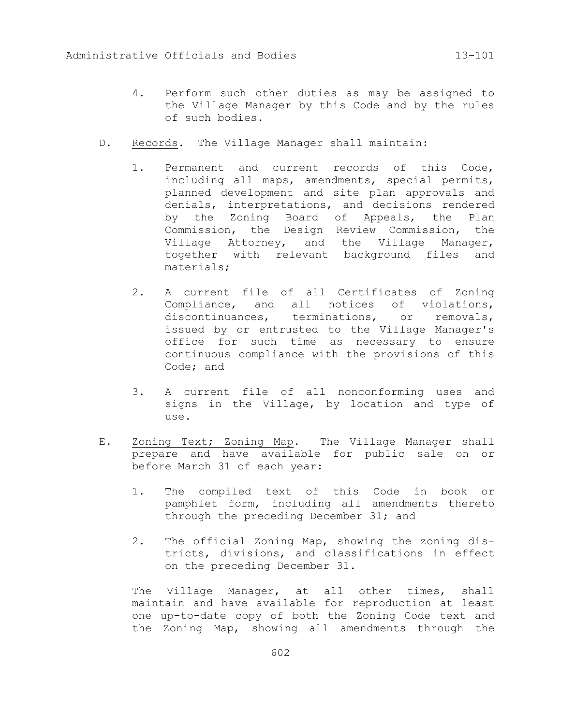- 4. Perform such other duties as may be assigned to the Village Manager by this Code and by the rules of such bodies.
- D. Records. The Village Manager shall maintain:
	- 1. Permanent and current records of this Code, including all maps, amendments, special permits, planned development and site plan approvals and denials, interpretations, and decisions rendered by the Zoning Board of Appeals, the Plan Commission, the Design Review Commission, the Village Attorney, and the Village Manager, together with relevant background files and materials;
	- 2. A current file of all Certificates of Zoning Compliance, and all notices of violations, discontinuances, terminations, or removals, issued by or entrusted to the Village Manager's office for such time as necessary to ensure continuous compliance with the provisions of this Code; and
	- 3. A current file of all nonconforming uses and signs in the Village, by location and type of use.
- E. Zoning Text; Zoning Map. The Village Manager shall prepare and have available for public sale on or before March 31 of each year:
	- 1. The compiled text of this Code in book or pamphlet form, including all amendments thereto through the preceding December 31; and
	- 2. The official Zoning Map, showing the zoning districts, divisions, and classifications in effect on the preceding December 31.

The Village Manager, at all other times, shall maintain and have available for reproduction at least one up-to-date copy of both the Zoning Code text and the Zoning Map, showing all amendments through the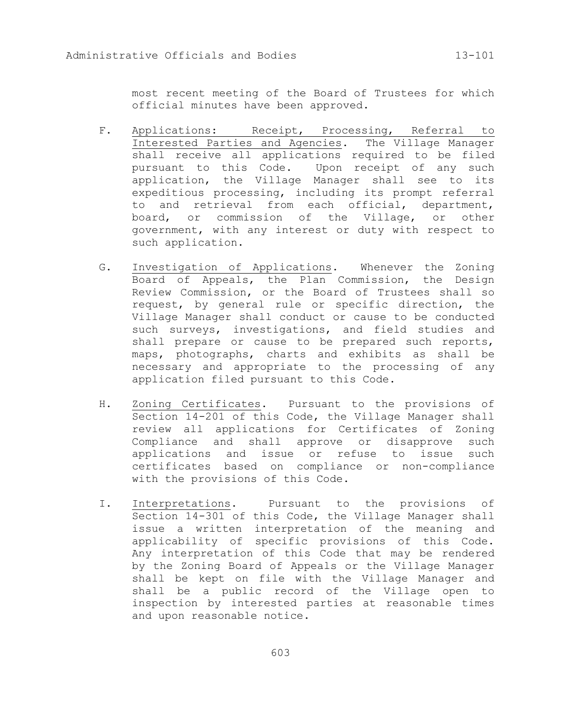most recent meeting of the Board of Trustees for which official minutes have been approved.

- F. Applications: Receipt, Processing, Referral to Interested Parties and Agencies. The Village Manager shall receive all applications required to be filed pursuant to this Code. Upon receipt of any such application, the Village Manager shall see to its expeditious processing, including its prompt referral to and retrieval from each official, department, board, or commission of the Village, or other government, with any interest or duty with respect to such application.
- G. Investigation of Applications. Whenever the Zoning Board of Appeals, the Plan Commission, the Design Review Commission, or the Board of Trustees shall so request, by general rule or specific direction, the Village Manager shall conduct or cause to be conducted such surveys, investigations, and field studies and shall prepare or cause to be prepared such reports, maps, photographs, charts and exhibits as shall be necessary and appropriate to the processing of any application filed pursuant to this Code.
- H. Zoning Certificates. Pursuant to the provisions of Section 14-201 of this Code, the Village Manager shall review all applications for Certificates of Zoning Compliance and shall approve or disapprove such applications and issue or refuse to issue such certificates based on compliance or non-compliance with the provisions of this Code.
- I. Interpretations. Pursuant to the provisions of Section 14-301 of this Code, the Village Manager shall issue a written interpretation of the meaning and applicability of specific provisions of this Code. Any interpretation of this Code that may be rendered by the Zoning Board of Appeals or the Village Manager shall be kept on file with the Village Manager and shall be a public record of the Village open to inspection by interested parties at reasonable times and upon reasonable notice.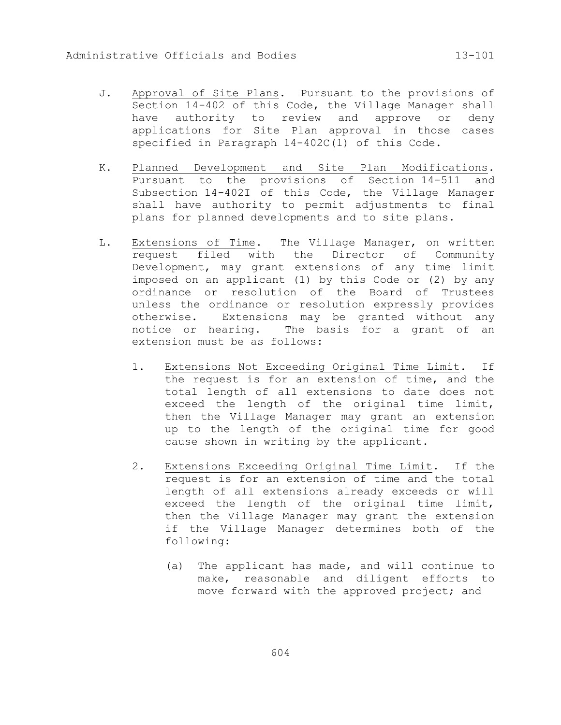- J. Approval of Site Plans. Pursuant to the provisions of Section 14-402 of this Code, the Village Manager shall have authority to review and approve or deny applications for Site Plan approval in those cases specified in Paragraph 14-402C(1) of this Code.
- K. Planned Development and Site Plan Modifications. Pursuant to the provisions of Section 14-511 and Subsection 14-402I of this Code, the Village Manager shall have authority to permit adjustments to final plans for planned developments and to site plans.
- L. Extensions of Time. The Village Manager, on written request filed with the Director of Community Development, may grant extensions of any time limit imposed on an applicant (1) by this Code or (2) by any ordinance or resolution of the Board of Trustees unless the ordinance or resolution expressly provides otherwise. Extensions may be granted without any notice or hearing. The basis for a grant of an extension must be as follows:
	- 1. Extensions Not Exceeding Original Time Limit. If the request is for an extension of time, and the total length of all extensions to date does not exceed the length of the original time limit, then the Village Manager may grant an extension up to the length of the original time for good cause shown in writing by the applicant.
	- 2. Extensions Exceeding Original Time Limit. If the request is for an extension of time and the total length of all extensions already exceeds or will exceed the length of the original time limit, then the Village Manager may grant the extension if the Village Manager determines both of the following:
		- (a) The applicant has made, and will continue to make, reasonable and diligent efforts to move forward with the approved project; and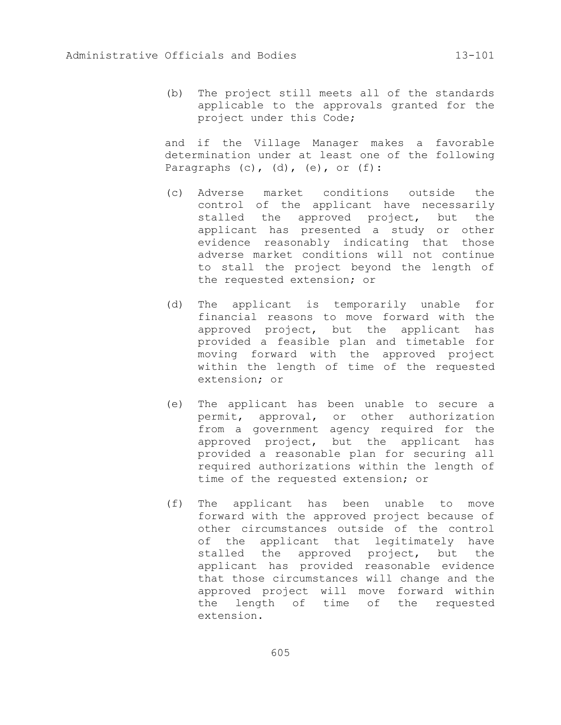(b) The project still meets all of the standards applicable to the approvals granted for the project under this Code;

and if the Village Manager makes a favorable determination under at least one of the following Paragraphs  $(c)$ ,  $(d)$ ,  $(e)$ , or  $(f)$ :

- (c) Adverse market conditions outside the control of the applicant have necessarily stalled the approved project, but the applicant has presented a study or other evidence reasonably indicating that those adverse market conditions will not continue to stall the project beyond the length of the requested extension; or
- (d) The applicant is temporarily unable for financial reasons to move forward with the approved project, but the applicant has provided a feasible plan and timetable for moving forward with the approved project within the length of time of the requested extension; or
- (e) The applicant has been unable to secure a permit, approval, or other authorization from a government agency required for the approved project, but the applicant has provided a reasonable plan for securing all required authorizations within the length of time of the requested extension; or
- (f) The applicant has been unable to move forward with the approved project because of other circumstances outside of the control of the applicant that legitimately have stalled the approved project, but the applicant has provided reasonable evidence that those circumstances will change and the approved project will move forward within the length of time of the requested extension.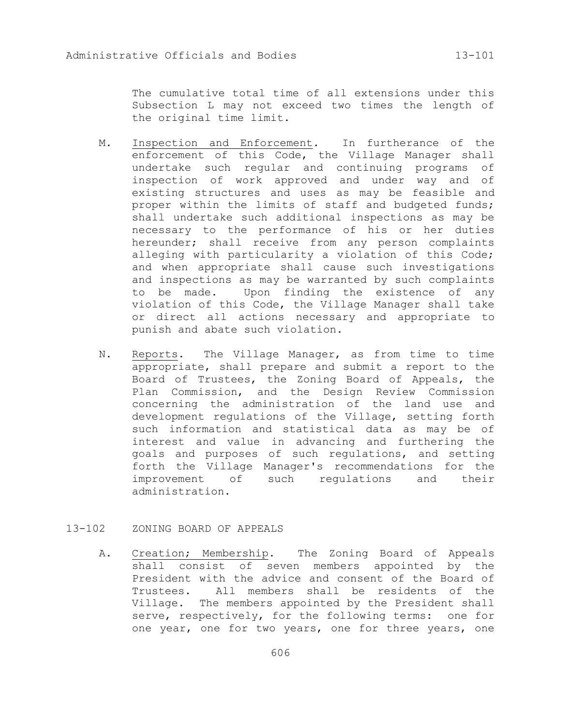The cumulative total time of all extensions under this Subsection L may not exceed two times the length of the original time limit.

- M. Inspection and Enforcement. In furtherance of the enforcement of this Code, the Village Manager shall undertake such regular and continuing programs of inspection of work approved and under way and of existing structures and uses as may be feasible and proper within the limits of staff and budgeted funds; shall undertake such additional inspections as may be necessary to the performance of his or her duties hereunder; shall receive from any person complaints alleging with particularity a violation of this Code; and when appropriate shall cause such investigations and inspections as may be warranted by such complaints to be made. Upon finding the existence of any violation of this Code, the Village Manager shall take or direct all actions necessary and appropriate to punish and abate such violation.
- N. Reports. The Village Manager, as from time to time appropriate, shall prepare and submit a report to the Board of Trustees, the Zoning Board of Appeals, the Plan Commission, and the Design Review Commission concerning the administration of the land use and development regulations of the Village, setting forth such information and statistical data as may be of interest and value in advancing and furthering the goals and purposes of such regulations, and setting forth the Village Manager's recommendations for the improvement of such regulations and their administration.

## 13-102 ZONING BOARD OF APPEALS

A. Creation; Membership. The Zoning Board of Appeals shall consist of seven members appointed by the President with the advice and consent of the Board of Trustees. All members shall be residents of the Village. The members appointed by the President shall serve, respectively, for the following terms: one for one year, one for two years, one for three years, one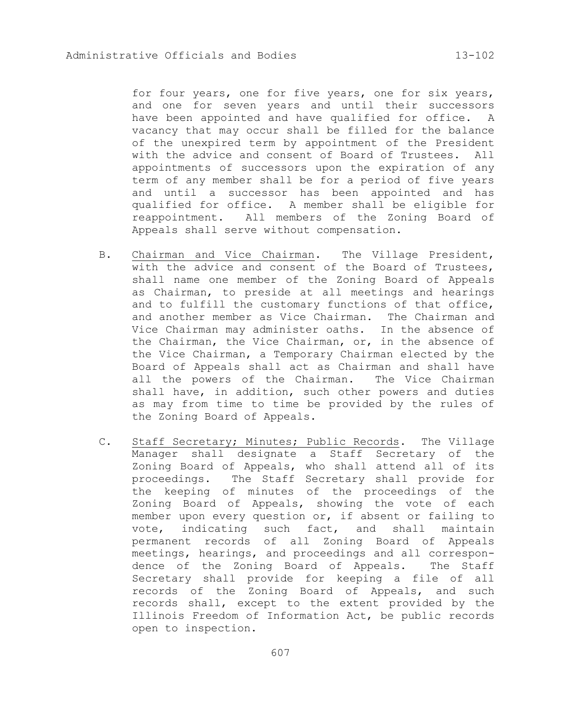for four years, one for five years, one for six years, and one for seven years and until their successors have been appointed and have qualified for office. A vacancy that may occur shall be filled for the balance of the unexpired term by appointment of the President with the advice and consent of Board of Trustees. All appointments of successors upon the expiration of any term of any member shall be for a period of five years and until a successor has been appointed and has qualified for office. A member shall be eligible for reappointment. All members of the Zoning Board of Appeals shall serve without compensation.

- B. Chairman and Vice Chairman. The Village President, with the advice and consent of the Board of Trustees, shall name one member of the Zoning Board of Appeals as Chairman, to preside at all meetings and hearings and to fulfill the customary functions of that office, and another member as Vice Chairman. The Chairman and Vice Chairman may administer oaths. In the absence of the Chairman, the Vice Chairman, or, in the absence of the Vice Chairman, a Temporary Chairman elected by the Board of Appeals shall act as Chairman and shall have all the powers of the Chairman. The Vice Chairman shall have, in addition, such other powers and duties as may from time to time be provided by the rules of the Zoning Board of Appeals.
- C. Staff Secretary; Minutes; Public Records. The Village Manager shall designate a Staff Secretary of the Zoning Board of Appeals, who shall attend all of its proceedings. The Staff Secretary shall provide for the keeping of minutes of the proceedings of the Zoning Board of Appeals, showing the vote of each member upon every question or, if absent or failing to vote, indicating such fact, and shall maintain permanent records of all Zoning Board of Appeals meetings, hearings, and proceedings and all correspondence of the Zoning Board of Appeals. The Staff Secretary shall provide for keeping a file of all records of the Zoning Board of Appeals, and such records shall, except to the extent provided by the Illinois Freedom of Information Act, be public records open to inspection.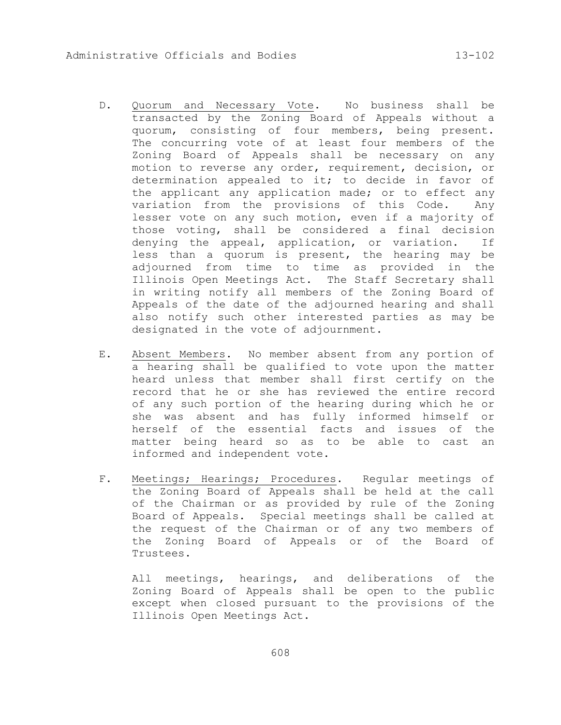- D. Quorum and Necessary Vote. No business shall be transacted by the Zoning Board of Appeals without a quorum, consisting of four members, being present. The concurring vote of at least four members of the Zoning Board of Appeals shall be necessary on any motion to reverse any order, requirement, decision, or determination appealed to it; to decide in favor of the applicant any application made; or to effect any variation from the provisions of this Code. Any lesser vote on any such motion, even if a majority of those voting, shall be considered a final decision denying the appeal, application, or variation. If less than a quorum is present, the hearing may be adjourned from time to time as provided in the Illinois Open Meetings Act. The Staff Secretary shall in writing notify all members of the Zoning Board of Appeals of the date of the adjourned hearing and shall also notify such other interested parties as may be designated in the vote of adjournment.
- E. Absent Members. No member absent from any portion of a hearing shall be qualified to vote upon the matter heard unless that member shall first certify on the record that he or she has reviewed the entire record of any such portion of the hearing during which he or she was absent and has fully informed himself or herself of the essential facts and issues of the matter being heard so as to be able to cast an informed and independent vote.
- F. Meetings; Hearings; Procedures. Regular meetings of the Zoning Board of Appeals shall be held at the call of the Chairman or as provided by rule of the Zoning Board of Appeals. Special meetings shall be called at the request of the Chairman or of any two members of the Zoning Board of Appeals or of the Board of Trustees.

All meetings, hearings, and deliberations of the Zoning Board of Appeals shall be open to the public except when closed pursuant to the provisions of the Illinois Open Meetings Act.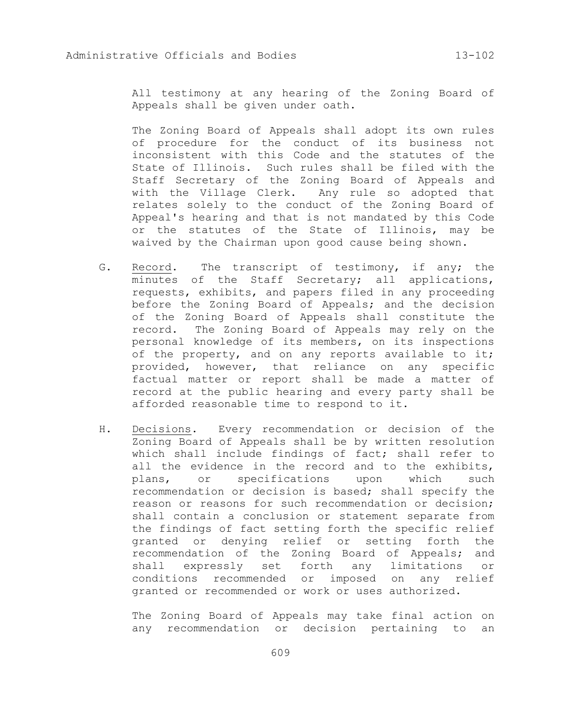All testimony at any hearing of the Zoning Board of Appeals shall be given under oath.

The Zoning Board of Appeals shall adopt its own rules of procedure for the conduct of its business not inconsistent with this Code and the statutes of the State of Illinois. Such rules shall be filed with the Staff Secretary of the Zoning Board of Appeals and with the Village Clerk. Any rule so adopted that relates solely to the conduct of the Zoning Board of Appeal's hearing and that is not mandated by this Code or the statutes of the State of Illinois, may be waived by the Chairman upon good cause being shown.

- G. Record. The transcript of testimony, if any; the minutes of the Staff Secretary; all applications, requests, exhibits, and papers filed in any proceeding before the Zoning Board of Appeals; and the decision of the Zoning Board of Appeals shall constitute the record. The Zoning Board of Appeals may rely on the personal knowledge of its members, on its inspections of the property, and on any reports available to it; provided, however, that reliance on any specific factual matter or report shall be made a matter of record at the public hearing and every party shall be afforded reasonable time to respond to it.
- H. Decisions. Every recommendation or decision of the Zoning Board of Appeals shall be by written resolution which shall include findings of fact; shall refer to all the evidence in the record and to the exhibits, plans, or specifications upon which such recommendation or decision is based; shall specify the reason or reasons for such recommendation or decision; shall contain a conclusion or statement separate from the findings of fact setting forth the specific relief granted or denying relief or setting forth the recommendation of the Zoning Board of Appeals; and shall expressly set forth any limitations or conditions recommended or imposed on any relief granted or recommended or work or uses authorized.

The Zoning Board of Appeals may take final action on any recommendation or decision pertaining to an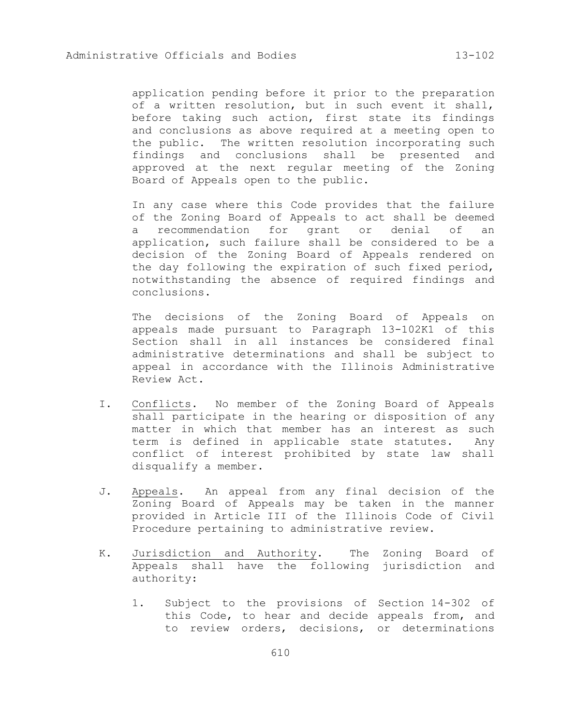application pending before it prior to the preparation of a written resolution, but in such event it shall, before taking such action, first state its findings and conclusions as above required at a meeting open to the public. The written resolution incorporating such findings and conclusions shall be presented and approved at the next regular meeting of the Zoning Board of Appeals open to the public.

In any case where this Code provides that the failure of the Zoning Board of Appeals to act shall be deemed a recommendation for grant or denial of an application, such failure shall be considered to be a decision of the Zoning Board of Appeals rendered on the day following the expiration of such fixed period, notwithstanding the absence of required findings and conclusions.

The decisions of the Zoning Board of Appeals on appeals made pursuant to Paragraph 13-102K1 of this Section shall in all instances be considered final administrative determinations and shall be subject to appeal in accordance with the Illinois Administrative Review Act.

- I. Conflicts. No member of the Zoning Board of Appeals shall participate in the hearing or disposition of any matter in which that member has an interest as such term is defined in applicable state statutes. Any conflict of interest prohibited by state law shall disqualify a member.
- J. Appeals. An appeal from any final decision of the Zoning Board of Appeals may be taken in the manner provided in Article III of the Illinois Code of Civil Procedure pertaining to administrative review.
- K. Jurisdiction and Authority. The Zoning Board of Appeals shall have the following jurisdiction and authority:
	- 1. Subject to the provisions of Section 14-302 of this Code, to hear and decide appeals from, and to review orders, decisions, or determinations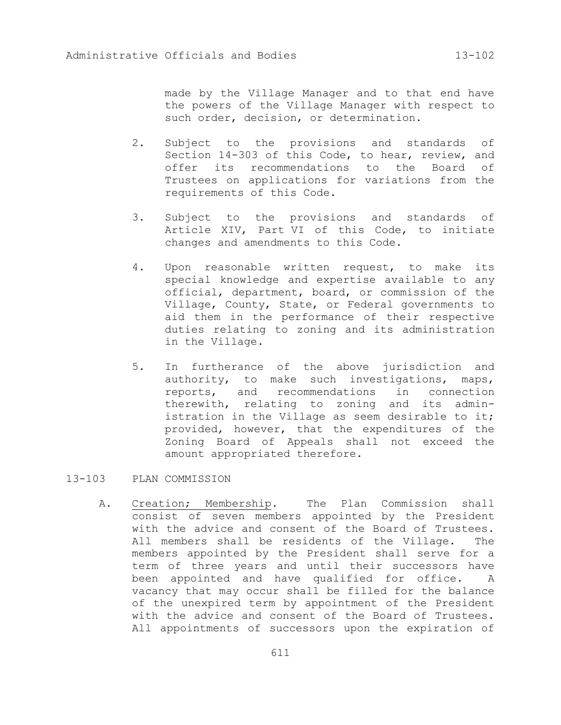made by the Village Manager and to that end have the powers of the Village Manager with respect to such order, decision, or determination.

- 2. Subject to the provisions and standards of Section 14-303 of this Code, to hear, review, and offer its recommendations to the Board of Trustees on applications for variations from the requirements of this Code.
- 3. Subject to the provisions and standards of Article XIV, Part VI of this Code, to initiate changes and amendments to this Code.
- 4. Upon reasonable written request, to make its special knowledge and expertise available to any official, department, board, or commission of the Village, County, State, or Federal governments to aid them in the performance of their respective duties relating to zoning and its administration in the Village.
- 5. In furtherance of the above jurisdiction and authority, to make such investigations, maps, reports, and recommendations in connection therewith, relating to zoning and its administration in the Village as seem desirable to it; provided, however, that the expenditures of the Zoning Board of Appeals shall not exceed the amount appropriated therefore.

13-103 PLAN COMMISSION

A. Creation; Membership. The Plan Commission shall consist of seven members appointed by the President with the advice and consent of the Board of Trustees. All members shall be residents of the Village. The members appointed by the President shall serve for a term of three years and until their successors have been appointed and have qualified for office. A vacancy that may occur shall be filled for the balance of the unexpired term by appointment of the President with the advice and consent of the Board of Trustees. All appointments of successors upon the expiration of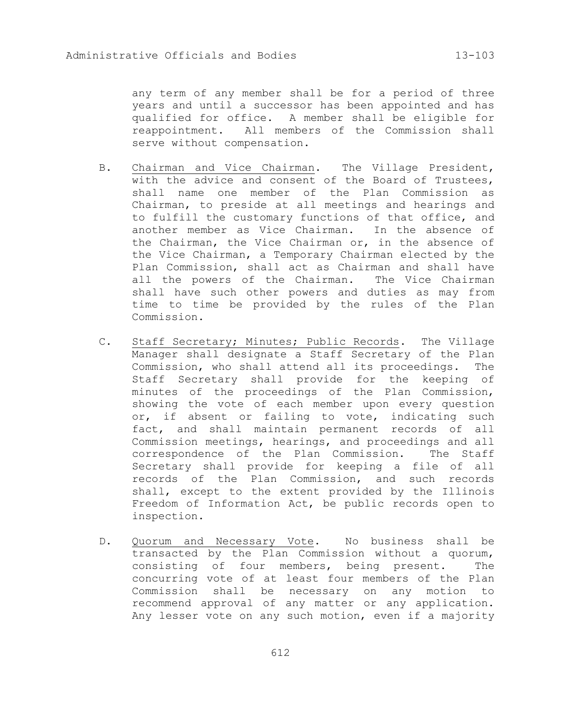any term of any member shall be for a period of three years and until a successor has been appointed and has qualified for office. A member shall be eligible for reappointment. All members of the Commission shall serve without compensation.

- B. Chairman and Vice Chairman. The Village President, with the advice and consent of the Board of Trustees, shall name one member of the Plan Commission as Chairman, to preside at all meetings and hearings and to fulfill the customary functions of that office, and another member as Vice Chairman. In the absence of the Chairman, the Vice Chairman or, in the absence of the Vice Chairman, a Temporary Chairman elected by the Plan Commission, shall act as Chairman and shall have all the powers of the Chairman. The Vice Chairman shall have such other powers and duties as may from time to time be provided by the rules of the Plan Commission.
- C. Staff Secretary; Minutes; Public Records. The Village Manager shall designate a Staff Secretary of the Plan Commission, who shall attend all its proceedings. The Staff Secretary shall provide for the keeping of minutes of the proceedings of the Plan Commission, showing the vote of each member upon every question or, if absent or failing to vote, indicating such fact, and shall maintain permanent records of all Commission meetings, hearings, and proceedings and all correspondence of the Plan Commission. The Staff Secretary shall provide for keeping a file of all records of the Plan Commission, and such records shall, except to the extent provided by the Illinois Freedom of Information Act, be public records open to inspection.
- D. Quorum and Necessary Vote. No business shall be transacted by the Plan Commission without a quorum, consisting of four members, being present. The concurring vote of at least four members of the Plan Commission shall be necessary on any motion to recommend approval of any matter or any application. Any lesser vote on any such motion, even if a majority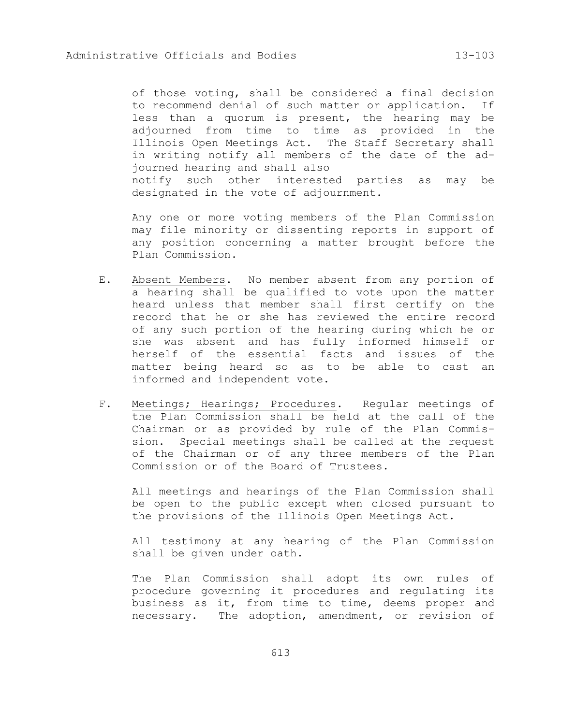of those voting, shall be considered a final decision to recommend denial of such matter or application. If less than a quorum is present, the hearing may be adjourned from time to time as provided in the Illinois Open Meetings Act. The Staff Secretary shall in writing notify all members of the date of the adjourned hearing and shall also notify such other interested parties as may be designated in the vote of adjournment.

Any one or more voting members of the Plan Commission may file minority or dissenting reports in support of any position concerning a matter brought before the Plan Commission.

- E. Absent Members. No member absent from any portion of a hearing shall be qualified to vote upon the matter heard unless that member shall first certify on the record that he or she has reviewed the entire record of any such portion of the hearing during which he or she was absent and has fully informed himself or herself of the essential facts and issues of the matter being heard so as to be able to cast an informed and independent vote.
- F. Meetings; Hearings; Procedures. Regular meetings of the Plan Commission shall be held at the call of the Chairman or as provided by rule of the Plan Commission. Special meetings shall be called at the request of the Chairman or of any three members of the Plan Commission or of the Board of Trustees.

All meetings and hearings of the Plan Commission shall be open to the public except when closed pursuant to the provisions of the Illinois Open Meetings Act.

All testimony at any hearing of the Plan Commission shall be given under oath.

The Plan Commission shall adopt its own rules of procedure governing it procedures and regulating its business as it, from time to time, deems proper and necessary. The adoption, amendment, or revision of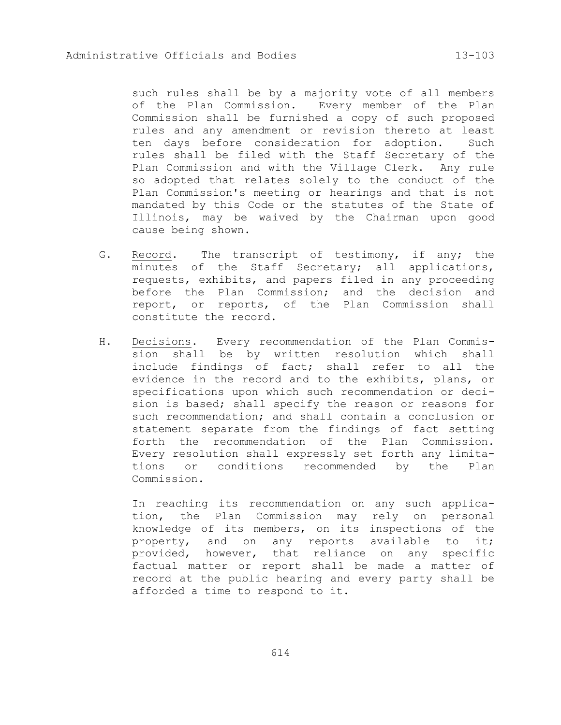such rules shall be by a majority vote of all members of the Plan Commission. Every member of the Plan Commission shall be furnished a copy of such proposed rules and any amendment or revision thereto at least ten days before consideration for adoption. Such rules shall be filed with the Staff Secretary of the Plan Commission and with the Village Clerk. Any rule so adopted that relates solely to the conduct of the Plan Commission's meeting or hearings and that is not mandated by this Code or the statutes of the State of Illinois, may be waived by the Chairman upon good cause being shown.

- G. Record. The transcript of testimony, if any; the minutes of the Staff Secretary; all applications, requests, exhibits, and papers filed in any proceeding before the Plan Commission; and the decision and report, or reports, of the Plan Commission shall constitute the record.
- H. Decisions. Every recommendation of the Plan Commission shall be by written resolution which shall include findings of fact; shall refer to all the evidence in the record and to the exhibits, plans, or specifications upon which such recommendation or decision is based; shall specify the reason or reasons for such recommendation; and shall contain a conclusion or statement separate from the findings of fact setting forth the recommendation of the Plan Commission. Every resolution shall expressly set forth any limitations or conditions recommended by the Plan Commission.

In reaching its recommendation on any such application, the Plan Commission may rely on personal knowledge of its members, on its inspections of the property, and on any reports available to it; provided, however, that reliance on any specific factual matter or report shall be made a matter of record at the public hearing and every party shall be afforded a time to respond to it.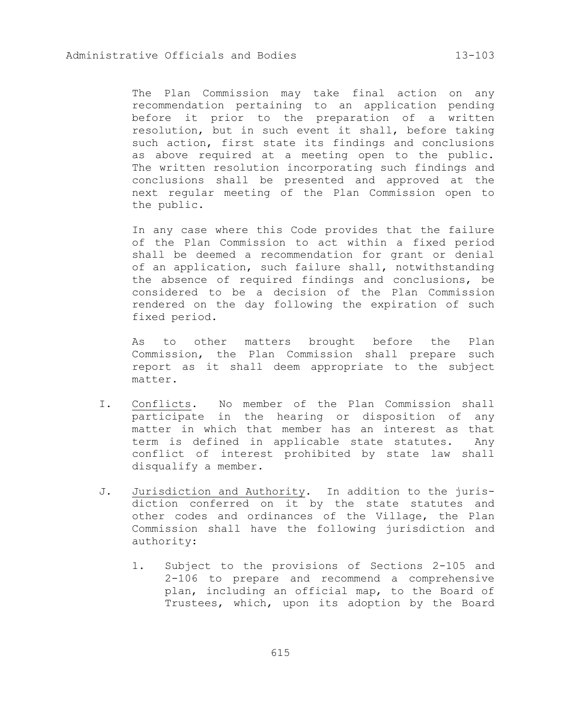The Plan Commission may take final action on any recommendation pertaining to an application pending before it prior to the preparation of a written resolution, but in such event it shall, before taking such action, first state its findings and conclusions as above required at a meeting open to the public. The written resolution incorporating such findings and conclusions shall be presented and approved at the next regular meeting of the Plan Commission open to the public.

In any case where this Code provides that the failure of the Plan Commission to act within a fixed period shall be deemed a recommendation for grant or denial of an application, such failure shall, notwithstanding the absence of required findings and conclusions, be considered to be a decision of the Plan Commission rendered on the day following the expiration of such fixed period.

As to other matters brought before the Plan Commission, the Plan Commission shall prepare such report as it shall deem appropriate to the subject matter.

- I. Conflicts. No member of the Plan Commission shall participate in the hearing or disposition of any matter in which that member has an interest as that term is defined in applicable state statutes. Any conflict of interest prohibited by state law shall disqualify a member.
- J. Jurisdiction and Authority. In addition to the jurisdiction conferred on it by the state statutes and other codes and ordinances of the Village, the Plan Commission shall have the following jurisdiction and authority:
	- 1. Subject to the provisions of Sections 2-105 and 2-106 to prepare and recommend a comprehensive plan, including an official map, to the Board of Trustees, which, upon its adoption by the Board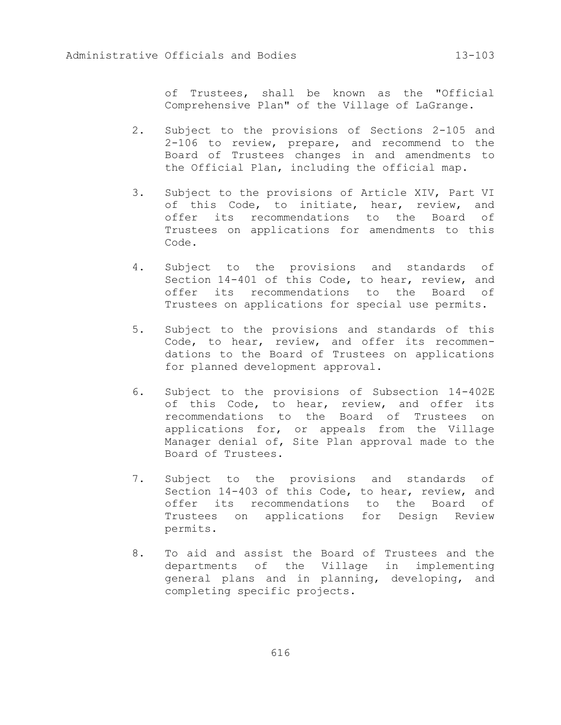of Trustees, shall be known as the "Official Comprehensive Plan" of the Village of LaGrange.

- 2. Subject to the provisions of Sections 2-105 and 2-106 to review, prepare, and recommend to the Board of Trustees changes in and amendments to the Official Plan, including the official map.
- 3. Subject to the provisions of Article XIV, Part VI of this Code, to initiate, hear, review, and offer its recommendations to the Board of Trustees on applications for amendments to this Code.
- 4. Subject to the provisions and standards of Section 14-401 of this Code, to hear, review, and offer its recommendations to the Board of Trustees on applications for special use permits.
- 5. Subject to the provisions and standards of this Code, to hear, review, and offer its recommendations to the Board of Trustees on applications for planned development approval.
- 6. Subject to the provisions of Subsection 14-402E of this Code, to hear, review, and offer its recommendations to the Board of Trustees on applications for, or appeals from the Village Manager denial of, Site Plan approval made to the Board of Trustees.
- 7. Subject to the provisions and standards of Section 14-403 of this Code, to hear, review, and offer its recommendations to the Board of Trustees on applications for Design Review permits.
- 8. To aid and assist the Board of Trustees and the departments of the Village in implementing general plans and in planning, developing, and completing specific projects.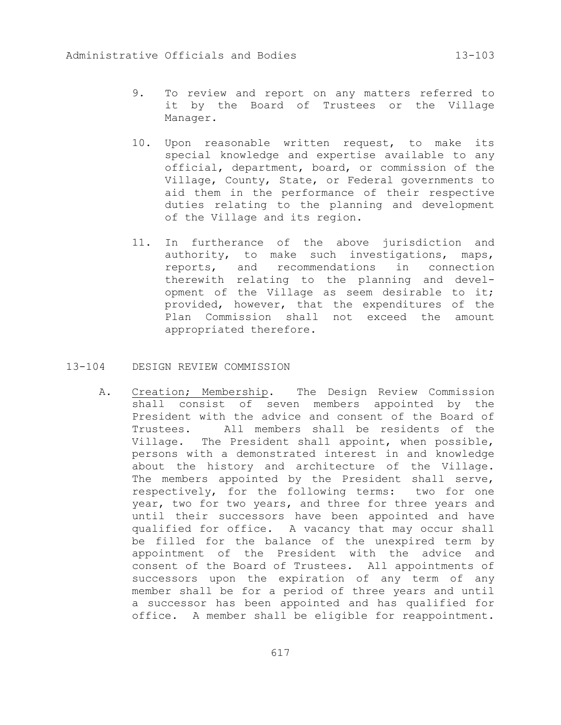- 9. To review and report on any matters referred to it by the Board of Trustees or the Village Manager.
- 10. Upon reasonable written request, to make its special knowledge and expertise available to any official, department, board, or commission of the Village, County, State, or Federal governments to aid them in the performance of their respective duties relating to the planning and development of the Village and its region.
- 11. In furtherance of the above jurisdiction and authority, to make such investigations, maps, reports, and recommendations in connection therewith relating to the planning and development of the Village as seem desirable to it; provided, however, that the expenditures of the Plan Commission shall not exceed the amount appropriated therefore.
- 13-104 DESIGN REVIEW COMMISSION
	- A. Creation; Membership. The Design Review Commission shall consist of seven members appointed by the President with the advice and consent of the Board of Trustees. All members shall be residents of the Village. The President shall appoint, when possible, persons with a demonstrated interest in and knowledge about the history and architecture of the Village. The members appointed by the President shall serve, respectively, for the following terms: two for one year, two for two years, and three for three years and until their successors have been appointed and have qualified for office. A vacancy that may occur shall be filled for the balance of the unexpired term by appointment of the President with the advice and consent of the Board of Trustees. All appointments of successors upon the expiration of any term of any member shall be for a period of three years and until a successor has been appointed and has qualified for office. A member shall be eligible for reappointment.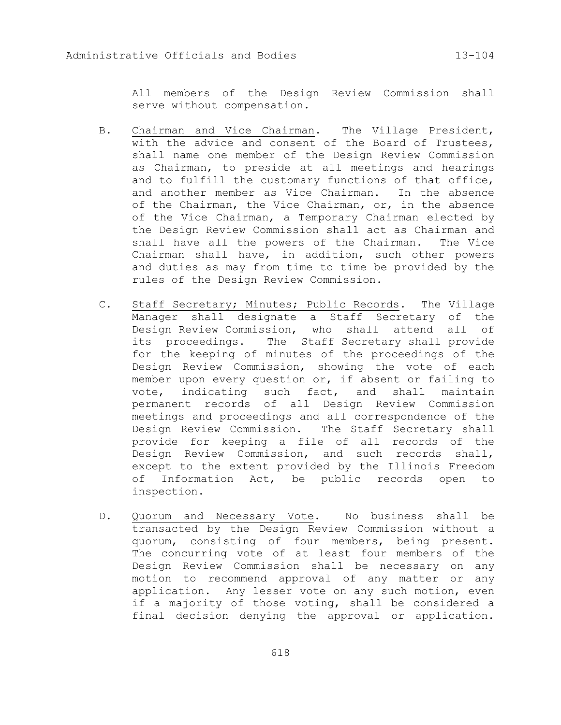All members of the Design Review Commission shall serve without compensation.

- B. Chairman and Vice Chairman. The Village President, with the advice and consent of the Board of Trustees, shall name one member of the Design Review Commission as Chairman, to preside at all meetings and hearings and to fulfill the customary functions of that office, and another member as Vice Chairman. In the absence of the Chairman, the Vice Chairman, or, in the absence of the Vice Chairman, a Temporary Chairman elected by the Design Review Commission shall act as Chairman and shall have all the powers of the Chairman. The Vice Chairman shall have, in addition, such other powers and duties as may from time to time be provided by the rules of the Design Review Commission.
- C. Staff Secretary; Minutes; Public Records. The Village Manager shall designate a Staff Secretary of the Design Review Commission, who shall attend all of its proceedings. The Staff Secretary shall provide for the keeping of minutes of the proceedings of the Design Review Commission, showing the vote of each member upon every question or, if absent or failing to vote, indicating such fact, and shall maintain permanent records of all Design Review Commission meetings and proceedings and all correspondence of the Design Review Commission. The Staff Secretary shall provide for keeping a file of all records of the Design Review Commission, and such records shall, except to the extent provided by the Illinois Freedom of Information Act, be public records open to inspection.
- D. Quorum and Necessary Vote. No business shall be transacted by the Design Review Commission without a quorum, consisting of four members, being present. The concurring vote of at least four members of the Design Review Commission shall be necessary on any motion to recommend approval of any matter or any application. Any lesser vote on any such motion, even if a majority of those voting, shall be considered a final decision denying the approval or application.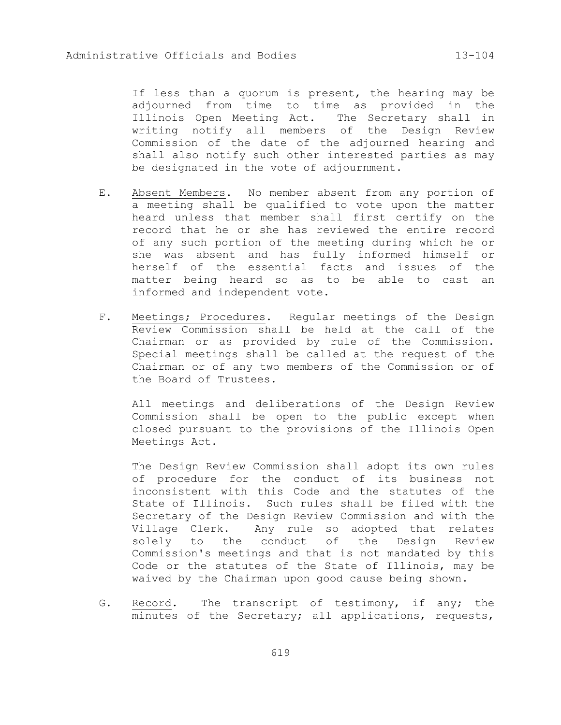If less than a quorum is present, the hearing may be adjourned from time to time as provided in the Illinois Open Meeting Act. The Secretary shall in writing notify all members of the Design Review Commission of the date of the adjourned hearing and shall also notify such other interested parties as may be designated in the vote of adjournment.

- E. Absent Members. No member absent from any portion of a meeting shall be qualified to vote upon the matter heard unless that member shall first certify on the record that he or she has reviewed the entire record of any such portion of the meeting during which he or she was absent and has fully informed himself or herself of the essential facts and issues of the matter being heard so as to be able to cast an informed and independent vote.
- F. Meetings; Procedures. Regular meetings of the Design Review Commission shall be held at the call of the Chairman or as provided by rule of the Commission. Special meetings shall be called at the request of the Chairman or of any two members of the Commission or of the Board of Trustees.

All meetings and deliberations of the Design Review Commission shall be open to the public except when closed pursuant to the provisions of the Illinois Open Meetings Act.

The Design Review Commission shall adopt its own rules of procedure for the conduct of its business not inconsistent with this Code and the statutes of the State of Illinois. Such rules shall be filed with the Secretary of the Design Review Commission and with the Village Clerk. Any rule so adopted that relates solely to the conduct of the Design Review Commission's meetings and that is not mandated by this Code or the statutes of the State of Illinois, may be waived by the Chairman upon good cause being shown.

G. Record. The transcript of testimony, if any; the minutes of the Secretary; all applications, requests,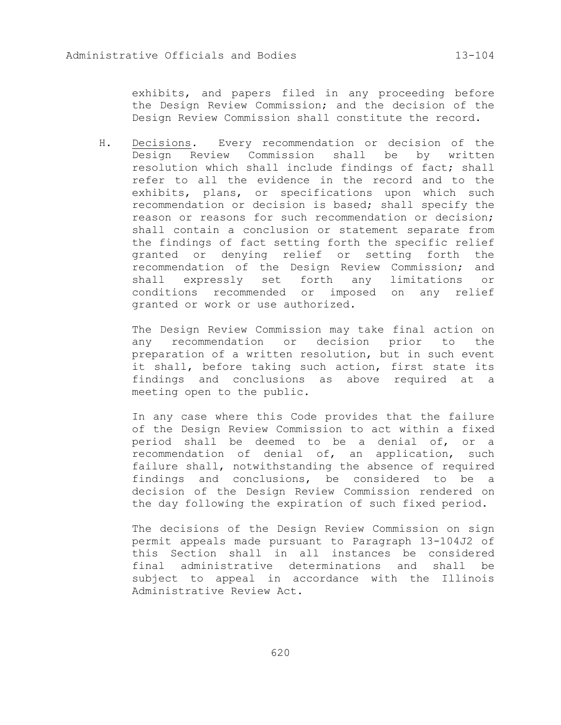exhibits, and papers filed in any proceeding before the Design Review Commission; and the decision of the Design Review Commission shall constitute the record.

H. Decisions. Every recommendation or decision of the Design Review Commission shall be by written resolution which shall include findings of fact; shall refer to all the evidence in the record and to the exhibits, plans, or specifications upon which such recommendation or decision is based; shall specify the reason or reasons for such recommendation or decision; shall contain a conclusion or statement separate from the findings of fact setting forth the specific relief granted or denying relief or setting forth the recommendation of the Design Review Commission; and shall expressly set forth any limitations or conditions recommended or imposed on any relief granted or work or use authorized.

The Design Review Commission may take final action on any recommendation or decision prior to the preparation of a written resolution, but in such event it shall, before taking such action, first state its findings and conclusions as above required at a meeting open to the public.

In any case where this Code provides that the failure of the Design Review Commission to act within a fixed period shall be deemed to be a denial of, or a recommendation of denial of, an application, such failure shall, notwithstanding the absence of required findings and conclusions, be considered to be a decision of the Design Review Commission rendered on the day following the expiration of such fixed period.

The decisions of the Design Review Commission on sign permit appeals made pursuant to Paragraph 13-104J2 of this Section shall in all instances be considered final administrative determinations and shall be subject to appeal in accordance with the Illinois Administrative Review Act.